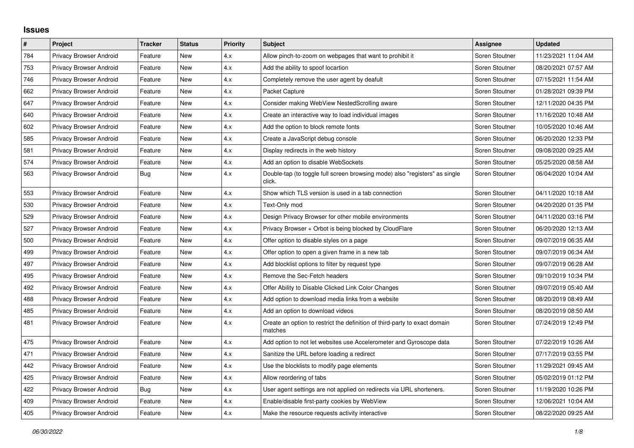## **Issues**

| $\vert$ # | Project                        | <b>Tracker</b> | <b>Status</b> | <b>Priority</b> | <b>Subject</b>                                                                        | Assignee       | <b>Updated</b>      |
|-----------|--------------------------------|----------------|---------------|-----------------|---------------------------------------------------------------------------------------|----------------|---------------------|
| 784       | Privacy Browser Android        | Feature        | New           | 4.x             | Allow pinch-to-zoom on webpages that want to prohibit it                              | Soren Stoutner | 11/23/2021 11:04 AM |
| 753       | Privacy Browser Android        | Feature        | New           | 4.x             | Add the ability to spoof locartion                                                    | Soren Stoutner | 08/20/2021 07:57 AM |
| 746       | Privacy Browser Android        | Feature        | New           | 4.x             | Completely remove the user agent by deafult                                           | Soren Stoutner | 07/15/2021 11:54 AM |
| 662       | Privacy Browser Android        | Feature        | New           | 4.x             | Packet Capture                                                                        | Soren Stoutner | 01/28/2021 09:39 PM |
| 647       | Privacy Browser Android        | Feature        | <b>New</b>    | 4.x             | Consider making WebView NestedScrolling aware                                         | Soren Stoutner | 12/11/2020 04:35 PM |
| 640       | Privacy Browser Android        | Feature        | New           | 4.x             | Create an interactive way to load individual images                                   | Soren Stoutner | 11/16/2020 10:48 AM |
| 602       | Privacy Browser Android        | Feature        | New           | 4.x             | Add the option to block remote fonts                                                  | Soren Stoutner | 10/05/2020 10:46 AM |
| 585       | Privacy Browser Android        | Feature        | New           | 4.x             | Create a JavaScript debug console                                                     | Soren Stoutner | 06/20/2020 12:33 PM |
| 581       | <b>Privacy Browser Android</b> | Feature        | New           | 4.x             | Display redirects in the web history                                                  | Soren Stoutner | 09/08/2020 09:25 AM |
| 574       | Privacy Browser Android        | Feature        | New           | 4.x             | Add an option to disable WebSockets                                                   | Soren Stoutner | 05/25/2020 08:58 AM |
| 563       | Privacy Browser Android        | Bug            | New           | 4.x             | Double-tap (to toggle full screen browsing mode) also "registers" as single<br>click. | Soren Stoutner | 06/04/2020 10:04 AM |
| 553       | Privacy Browser Android        | Feature        | <b>New</b>    | 4.x             | Show which TLS version is used in a tab connection                                    | Soren Stoutner | 04/11/2020 10:18 AM |
| 530       | Privacy Browser Android        | Feature        | New           | 4.x             | Text-Only mod                                                                         | Soren Stoutner | 04/20/2020 01:35 PM |
| 529       | Privacy Browser Android        | Feature        | New           | 4.x             | Design Privacy Browser for other mobile environments                                  | Soren Stoutner | 04/11/2020 03:16 PM |
| 527       | Privacy Browser Android        | Feature        | New           | 4.x             | Privacy Browser + Orbot is being blocked by CloudFlare                                | Soren Stoutner | 06/20/2020 12:13 AM |
| 500       | Privacy Browser Android        | Feature        | New           | 4.x             | Offer option to disable styles on a page                                              | Soren Stoutner | 09/07/2019 06:35 AM |
| 499       | <b>Privacy Browser Android</b> | Feature        | New           | 4.x             | Offer option to open a given frame in a new tab                                       | Soren Stoutner | 09/07/2019 06:34 AM |
| 497       | <b>Privacy Browser Android</b> | Feature        | New           | 4.x             | Add blocklist options to filter by request type                                       | Soren Stoutner | 09/07/2019 06:28 AM |
| 495       | Privacy Browser Android        | Feature        | New           | 4.x             | Remove the Sec-Fetch headers                                                          | Soren Stoutner | 09/10/2019 10:34 PM |
| 492       | Privacy Browser Android        | Feature        | New           | 4.x             | Offer Ability to Disable Clicked Link Color Changes                                   | Soren Stoutner | 09/07/2019 05:40 AM |
| 488       | Privacy Browser Android        | Feature        | New           | 4.x             | Add option to download media links from a website                                     | Soren Stoutner | 08/20/2019 08:49 AM |
| 485       | Privacy Browser Android        | Feature        | New           | 4.x             | Add an option to download videos                                                      | Soren Stoutner | 08/20/2019 08:50 AM |
| 481       | Privacy Browser Android        | Feature        | New           | 4.x             | Create an option to restrict the definition of third-party to exact domain<br>matches | Soren Stoutner | 07/24/2019 12:49 PM |
| 475       | Privacy Browser Android        | Feature        | New           | 4.x             | Add option to not let websites use Accelerometer and Gyroscope data                   | Soren Stoutner | 07/22/2019 10:26 AM |
| 471       | Privacy Browser Android        | Feature        | New           | 4.x             | Sanitize the URL before loading a redirect                                            | Soren Stoutner | 07/17/2019 03:55 PM |
| 442       | Privacy Browser Android        | Feature        | New           | 4.x             | Use the blocklists to modify page elements                                            | Soren Stoutner | 11/29/2021 09:45 AM |
| 425       | Privacy Browser Android        | Feature        | New           | 4.x             | Allow reordering of tabs                                                              | Soren Stoutner | 05/02/2019 01:12 PM |
| 422       | Privacy Browser Android        | <b>Bug</b>     | New           | 4.x             | User agent settings are not applied on redirects via URL shorteners.                  | Soren Stoutner | 11/19/2020 10:26 PM |
| 409       | Privacy Browser Android        | Feature        | New           | 4.x             | Enable/disable first-party cookies by WebView                                         | Soren Stoutner | 12/06/2021 10:04 AM |
| 405       | <b>Privacy Browser Android</b> | Feature        | New           | 4.x             | Make the resource requests activity interactive                                       | Soren Stoutner | 08/22/2020 09:25 AM |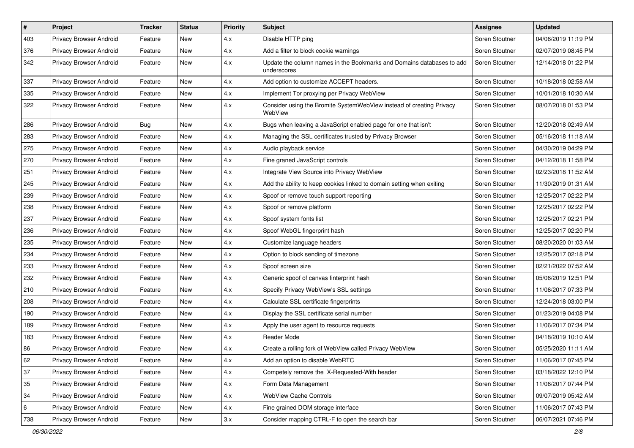| #   | Project                 | <b>Tracker</b> | <b>Status</b> | <b>Priority</b> | Subject                                                                              | Assignee       | <b>Updated</b>      |
|-----|-------------------------|----------------|---------------|-----------------|--------------------------------------------------------------------------------------|----------------|---------------------|
| 403 | Privacy Browser Android | Feature        | <b>New</b>    | 4.x             | Disable HTTP ping                                                                    | Soren Stoutner | 04/06/2019 11:19 PM |
| 376 | Privacy Browser Android | Feature        | <b>New</b>    | 4.x             | Add a filter to block cookie warnings                                                | Soren Stoutner | 02/07/2019 08:45 PM |
| 342 | Privacy Browser Android | Feature        | New           | 4.x             | Update the column names in the Bookmarks and Domains databases to add<br>underscores | Soren Stoutner | 12/14/2018 01:22 PM |
| 337 | Privacy Browser Android | Feature        | <b>New</b>    | 4.x             | Add option to customize ACCEPT headers.                                              | Soren Stoutner | 10/18/2018 02:58 AM |
| 335 | Privacy Browser Android | Feature        | New           | 4.x             | Implement Tor proxying per Privacy WebView                                           | Soren Stoutner | 10/01/2018 10:30 AM |
| 322 | Privacy Browser Android | Feature        | <b>New</b>    | 4.x             | Consider using the Bromite SystemWebView instead of creating Privacy<br>WebView      | Soren Stoutner | 08/07/2018 01:53 PM |
| 286 | Privacy Browser Android | <b>Bug</b>     | <b>New</b>    | 4.x             | Bugs when leaving a JavaScript enabled page for one that isn't                       | Soren Stoutner | 12/20/2018 02:49 AM |
| 283 | Privacy Browser Android | Feature        | <b>New</b>    | 4.x             | Managing the SSL certificates trusted by Privacy Browser                             | Soren Stoutner | 05/16/2018 11:18 AM |
| 275 | Privacy Browser Android | Feature        | New           | 4.x             | Audio playback service                                                               | Soren Stoutner | 04/30/2019 04:29 PM |
| 270 | Privacy Browser Android | Feature        | <b>New</b>    | 4.x             | Fine graned JavaScript controls                                                      | Soren Stoutner | 04/12/2018 11:58 PM |
| 251 | Privacy Browser Android | Feature        | <b>New</b>    | 4.x             | Integrate View Source into Privacy WebView                                           | Soren Stoutner | 02/23/2018 11:52 AM |
| 245 | Privacy Browser Android | Feature        | New           | 4.x             | Add the ability to keep cookies linked to domain setting when exiting                | Soren Stoutner | 11/30/2019 01:31 AM |
| 239 | Privacy Browser Android | Feature        | <b>New</b>    | 4.x             | Spoof or remove touch support reporting                                              | Soren Stoutner | 12/25/2017 02:22 PM |
| 238 | Privacy Browser Android | Feature        | New           | 4.x             | Spoof or remove platform                                                             | Soren Stoutner | 12/25/2017 02:22 PM |
| 237 | Privacy Browser Android | Feature        | <b>New</b>    | 4.x             | Spoof system fonts list                                                              | Soren Stoutner | 12/25/2017 02:21 PM |
| 236 | Privacy Browser Android | Feature        | <b>New</b>    | 4.x             | Spoof WebGL fingerprint hash                                                         | Soren Stoutner | 12/25/2017 02:20 PM |
| 235 | Privacy Browser Android | Feature        | New           | 4.x             | Customize language headers                                                           | Soren Stoutner | 08/20/2020 01:03 AM |
| 234 | Privacy Browser Android | Feature        | <b>New</b>    | 4.x             | Option to block sending of timezone                                                  | Soren Stoutner | 12/25/2017 02:18 PM |
| 233 | Privacy Browser Android | Feature        | New           | 4.x             | Spoof screen size                                                                    | Soren Stoutner | 02/21/2022 07:52 AM |
| 232 | Privacy Browser Android | Feature        | <b>New</b>    | 4.x             | Generic spoof of canvas finterprint hash                                             | Soren Stoutner | 05/06/2019 12:51 PM |
| 210 | Privacy Browser Android | Feature        | <b>New</b>    | 4.x             | Specify Privacy WebView's SSL settings                                               | Soren Stoutner | 11/06/2017 07:33 PM |
| 208 | Privacy Browser Android | Feature        | New           | 4.x             | Calculate SSL certificate fingerprints                                               | Soren Stoutner | 12/24/2018 03:00 PM |
| 190 | Privacy Browser Android | Feature        | <b>New</b>    | 4.x             | Display the SSL certificate serial number                                            | Soren Stoutner | 01/23/2019 04:08 PM |
| 189 | Privacy Browser Android | Feature        | <b>New</b>    | 4.x             | Apply the user agent to resource requests                                            | Soren Stoutner | 11/06/2017 07:34 PM |
| 183 | Privacy Browser Android | Feature        | New           | 4.x             | Reader Mode                                                                          | Soren Stoutner | 04/18/2019 10:10 AM |
| 86  | Privacy Browser Android | Feature        | <b>New</b>    | 4.x             | Create a rolling fork of WebView called Privacy WebView                              | Soren Stoutner | 05/25/2020 11:11 AM |
| 62  | Privacy Browser Android | Feature        | New           | 4.x             | Add an option to disable WebRTC                                                      | Soren Stoutner | 11/06/2017 07:45 PM |
| 37  | Privacy Browser Android | Feature        | New           | 4.x             | Competely remove the X-Requested-With header                                         | Soren Stoutner | 03/18/2022 12:10 PM |
| 35  | Privacy Browser Android | Feature        | New           | 4.x             | Form Data Management                                                                 | Soren Stoutner | 11/06/2017 07:44 PM |
| 34  | Privacy Browser Android | Feature        | New           | 4.x             | WebView Cache Controls                                                               | Soren Stoutner | 09/07/2019 05:42 AM |
| 6   | Privacy Browser Android | Feature        | New           | 4.x             | Fine grained DOM storage interface                                                   | Soren Stoutner | 11/06/2017 07:43 PM |
| 738 | Privacy Browser Android | Feature        | New           | 3.x             | Consider mapping CTRL-F to open the search bar                                       | Soren Stoutner | 06/07/2021 07:46 PM |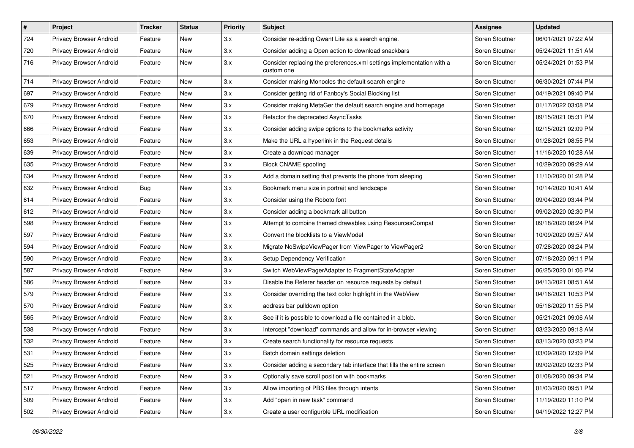| $\#$ | Project                        | <b>Tracker</b> | <b>Status</b> | <b>Priority</b> | <b>Subject</b>                                                                      | <b>Assignee</b> | <b>Updated</b>      |
|------|--------------------------------|----------------|---------------|-----------------|-------------------------------------------------------------------------------------|-----------------|---------------------|
| 724  | Privacy Browser Android        | Feature        | New           | 3.x             | Consider re-adding Qwant Lite as a search engine.                                   | Soren Stoutner  | 06/01/2021 07:22 AM |
| 720  | Privacy Browser Android        | Feature        | <b>New</b>    | 3.x             | Consider adding a Open action to download snackbars                                 | Soren Stoutner  | 05/24/2021 11:51 AM |
| 716  | Privacy Browser Android        | Feature        | New           | 3.x             | Consider replacing the preferences.xml settings implementation with a<br>custom one | Soren Stoutner  | 05/24/2021 01:53 PM |
| 714  | Privacy Browser Android        | Feature        | <b>New</b>    | 3.x             | Consider making Monocles the default search engine                                  | Soren Stoutner  | 06/30/2021 07:44 PM |
| 697  | Privacy Browser Android        | Feature        | New           | 3.x             | Consider getting rid of Fanboy's Social Blocking list                               | Soren Stoutner  | 04/19/2021 09:40 PM |
| 679  | Privacy Browser Android        | Feature        | New           | 3.x             | Consider making MetaGer the default search engine and homepage                      | Soren Stoutner  | 01/17/2022 03:08 PM |
| 670  | Privacy Browser Android        | Feature        | New           | 3.x             | Refactor the deprecated AsyncTasks                                                  | Soren Stoutner  | 09/15/2021 05:31 PM |
| 666  | Privacy Browser Android        | Feature        | New           | 3.x             | Consider adding swipe options to the bookmarks activity                             | Soren Stoutner  | 02/15/2021 02:09 PM |
| 653  | Privacy Browser Android        | Feature        | New           | 3.x             | Make the URL a hyperlink in the Request details                                     | Soren Stoutner  | 01/28/2021 08:55 PM |
| 639  | Privacy Browser Android        | Feature        | New           | 3.x             | Create a download manager                                                           | Soren Stoutner  | 11/16/2020 10:28 AM |
| 635  | Privacy Browser Android        | Feature        | New           | 3.x             | <b>Block CNAME spoofing</b>                                                         | Soren Stoutner  | 10/29/2020 09:29 AM |
| 634  | Privacy Browser Android        | Feature        | New           | 3.x             | Add a domain setting that prevents the phone from sleeping                          | Soren Stoutner  | 11/10/2020 01:28 PM |
| 632  | Privacy Browser Android        | <b>Bug</b>     | New           | 3.x             | Bookmark menu size in portrait and landscape                                        | Soren Stoutner  | 10/14/2020 10:41 AM |
| 614  | Privacy Browser Android        | Feature        | New           | 3.x             | Consider using the Roboto font                                                      | Soren Stoutner  | 09/04/2020 03:44 PM |
| 612  | Privacy Browser Android        | Feature        | New           | 3.x             | Consider adding a bookmark all button                                               | Soren Stoutner  | 09/02/2020 02:30 PM |
| 598  | <b>Privacy Browser Android</b> | Feature        | New           | 3.x             | Attempt to combine themed drawables using ResourcesCompat                           | Soren Stoutner  | 09/18/2020 08:24 PM |
| 597  | Privacy Browser Android        | Feature        | New           | 3.x             | Convert the blocklists to a ViewModel                                               | Soren Stoutner  | 10/09/2020 09:57 AM |
| 594  | Privacy Browser Android        | Feature        | New           | 3.x             | Migrate NoSwipeViewPager from ViewPager to ViewPager2                               | Soren Stoutner  | 07/28/2020 03:24 PM |
| 590  | Privacy Browser Android        | Feature        | New           | 3.x             | Setup Dependency Verification                                                       | Soren Stoutner  | 07/18/2020 09:11 PM |
| 587  | Privacy Browser Android        | Feature        | New           | 3.x             | Switch WebViewPagerAdapter to FragmentStateAdapter                                  | Soren Stoutner  | 06/25/2020 01:06 PM |
| 586  | Privacy Browser Android        | Feature        | New           | 3.x             | Disable the Referer header on resource requests by default                          | Soren Stoutner  | 04/13/2021 08:51 AM |
| 579  | Privacy Browser Android        | Feature        | New           | 3.x             | Consider overriding the text color highlight in the WebView                         | Soren Stoutner  | 04/16/2021 10:53 PM |
| 570  | Privacy Browser Android        | Feature        | New           | 3.x             | address bar pulldown option                                                         | Soren Stoutner  | 05/18/2020 11:55 PM |
| 565  | Privacy Browser Android        | Feature        | New           | 3.x             | See if it is possible to download a file contained in a blob.                       | Soren Stoutner  | 05/21/2021 09:06 AM |
| 538  | Privacy Browser Android        | Feature        | New           | 3.x             | Intercept "download" commands and allow for in-browser viewing                      | Soren Stoutner  | 03/23/2020 09:18 AM |
| 532  | Privacy Browser Android        | Feature        | New           | 3.x             | Create search functionality for resource requests                                   | Soren Stoutner  | 03/13/2020 03:23 PM |
| 531  | Privacy Browser Android        | Feature        | New           | 3.x             | Batch domain settings deletion                                                      | Soren Stoutner  | 03/09/2020 12:09 PM |
| 525  | <b>Privacy Browser Android</b> | Feature        | New           | 3.x             | Consider adding a secondary tab interface that fills the entire screen              | Soren Stoutner  | 09/02/2020 02:33 PM |
| 521  | Privacy Browser Android        | Feature        | New           | 3.x             | Optionally save scroll position with bookmarks                                      | Soren Stoutner  | 01/08/2020 09:34 PM |
| 517  | Privacy Browser Android        | Feature        | New           | 3.x             | Allow importing of PBS files through intents                                        | Soren Stoutner  | 01/03/2020 09:51 PM |
| 509  | Privacy Browser Android        | Feature        | New           | 3.x             | Add "open in new task" command                                                      | Soren Stoutner  | 11/19/2020 11:10 PM |
| 502  | Privacy Browser Android        | Feature        | New           | 3.x             | Create a user configurble URL modification                                          | Soren Stoutner  | 04/19/2022 12:27 PM |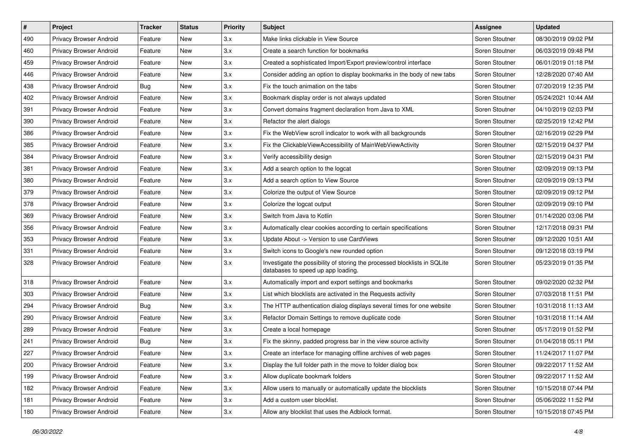| $\sharp$ | Project                        | <b>Tracker</b> | <b>Status</b> | <b>Priority</b> | Subject                                                                                                         | Assignee       | <b>Updated</b>      |
|----------|--------------------------------|----------------|---------------|-----------------|-----------------------------------------------------------------------------------------------------------------|----------------|---------------------|
| 490      | Privacy Browser Android        | Feature        | New           | 3.x             | Make links clickable in View Source                                                                             | Soren Stoutner | 08/30/2019 09:02 PM |
| 460      | Privacy Browser Android        | Feature        | New           | 3.x             | Create a search function for bookmarks                                                                          | Soren Stoutner | 06/03/2019 09:48 PM |
| 459      | Privacy Browser Android        | Feature        | New           | 3.x             | Created a sophisticated Import/Export preview/control interface                                                 | Soren Stoutner | 06/01/2019 01:18 PM |
| 446      | Privacy Browser Android        | Feature        | New           | 3.x             | Consider adding an option to display bookmarks in the body of new tabs                                          | Soren Stoutner | 12/28/2020 07:40 AM |
| 438      | Privacy Browser Android        | Bug            | New           | 3.x             | Fix the touch animation on the tabs                                                                             | Soren Stoutner | 07/20/2019 12:35 PM |
| 402      | Privacy Browser Android        | Feature        | New           | 3.x             | Bookmark display order is not always updated                                                                    | Soren Stoutner | 05/24/2021 10:44 AM |
| 391      | Privacy Browser Android        | Feature        | New           | 3.x             | Convert domains fragment declaration from Java to XML                                                           | Soren Stoutner | 04/10/2019 02:03 PM |
| 390      | Privacy Browser Android        | Feature        | New           | 3.x             | Refactor the alert dialogs                                                                                      | Soren Stoutner | 02/25/2019 12:42 PM |
| 386      | Privacy Browser Android        | Feature        | New           | 3.x             | Fix the WebView scroll indicator to work with all backgrounds                                                   | Soren Stoutner | 02/16/2019 02:29 PM |
| 385      | Privacy Browser Android        | Feature        | New           | 3.x             | Fix the ClickableViewAccessibility of MainWebViewActivity                                                       | Soren Stoutner | 02/15/2019 04:37 PM |
| 384      | Privacy Browser Android        | Feature        | New           | 3.x             | Verify accessibility design                                                                                     | Soren Stoutner | 02/15/2019 04:31 PM |
| 381      | <b>Privacy Browser Android</b> | Feature        | New           | 3.x             | Add a search option to the logcat                                                                               | Soren Stoutner | 02/09/2019 09:13 PM |
| 380      | Privacy Browser Android        | Feature        | New           | 3.x             | Add a search option to View Source                                                                              | Soren Stoutner | 02/09/2019 09:13 PM |
| 379      | Privacy Browser Android        | Feature        | New           | 3.x             | Colorize the output of View Source                                                                              | Soren Stoutner | 02/09/2019 09:12 PM |
| 378      | Privacy Browser Android        | Feature        | New           | 3.x             | Colorize the logcat output                                                                                      | Soren Stoutner | 02/09/2019 09:10 PM |
| 369      | Privacy Browser Android        | Feature        | New           | 3.x             | Switch from Java to Kotlin                                                                                      | Soren Stoutner | 01/14/2020 03:06 PM |
| 356      | Privacy Browser Android        | Feature        | New           | 3.x             | Automatically clear cookies according to certain specifications                                                 | Soren Stoutner | 12/17/2018 09:31 PM |
| 353      | Privacy Browser Android        | Feature        | New           | 3.x             | Update About -> Version to use CardViews                                                                        | Soren Stoutner | 09/12/2020 10:51 AM |
| 331      | Privacy Browser Android        | Feature        | New           | 3.x             | Switch icons to Google's new rounded option                                                                     | Soren Stoutner | 09/12/2018 03:19 PM |
| 328      | Privacy Browser Android        | Feature        | New           | 3.x             | Investigate the possibility of storing the processed blocklists in SQLite<br>databases to speed up app loading. | Soren Stoutner | 05/23/2019 01:35 PM |
| 318      | Privacy Browser Android        | Feature        | New           | 3.x             | Automatically import and export settings and bookmarks                                                          | Soren Stoutner | 09/02/2020 02:32 PM |
| 303      | Privacy Browser Android        | Feature        | New           | 3.x             | List which blocklists are activated in the Requests activity                                                    | Soren Stoutner | 07/03/2018 11:51 PM |
| 294      | Privacy Browser Android        | <b>Bug</b>     | New           | 3.x             | The HTTP authentication dialog displays several times for one website                                           | Soren Stoutner | 10/31/2018 11:13 AM |
| 290      | Privacy Browser Android        | Feature        | New           | 3.x             | Refactor Domain Settings to remove duplicate code                                                               | Soren Stoutner | 10/31/2018 11:14 AM |
| 289      | Privacy Browser Android        | Feature        | New           | 3.x             | Create a local homepage                                                                                         | Soren Stoutner | 05/17/2019 01:52 PM |
| 241      | Privacy Browser Android        | <b>Bug</b>     | New           | 3.x             | Fix the skinny, padded progress bar in the view source activity                                                 | Soren Stoutner | 01/04/2018 05:11 PM |
| 227      | Privacy Browser Android        | Feature        | New           | 3.x             | Create an interface for managing offline archives of web pages                                                  | Soren Stoutner | 11/24/2017 11:07 PM |
| 200      | Privacy Browser Android        | Feature        | New           | 3.x             | Display the full folder path in the move to folder dialog box                                                   | Soren Stoutner | 09/22/2017 11:52 AM |
| 199      | Privacy Browser Android        | Feature        | New           | 3.x             | Allow duplicate bookmark folders                                                                                | Soren Stoutner | 09/22/2017 11:52 AM |
| 182      | Privacy Browser Android        | Feature        | New           | 3.x             | Allow users to manually or automatically update the blocklists                                                  | Soren Stoutner | 10/15/2018 07:44 PM |
| 181      | Privacy Browser Android        | Feature        | New           | 3.x             | Add a custom user blocklist.                                                                                    | Soren Stoutner | 05/06/2022 11:52 PM |
| 180      | Privacy Browser Android        | Feature        | New           | 3.x             | Allow any blocklist that uses the Adblock format.                                                               | Soren Stoutner | 10/15/2018 07:45 PM |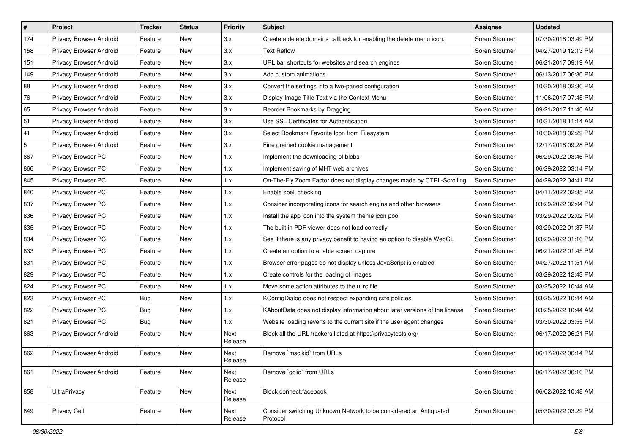| $\pmb{\#}$ | Project                 | <b>Tracker</b> | <b>Status</b> | <b>Priority</b> | Subject                                                                       | <b>Assignee</b> | <b>Updated</b>      |
|------------|-------------------------|----------------|---------------|-----------------|-------------------------------------------------------------------------------|-----------------|---------------------|
| 174        | Privacy Browser Android | Feature        | New           | 3.x             | Create a delete domains callback for enabling the delete menu icon.           | Soren Stoutner  | 07/30/2018 03:49 PM |
| 158        | Privacy Browser Android | Feature        | New           | 3.x             | <b>Text Reflow</b>                                                            | Soren Stoutner  | 04/27/2019 12:13 PM |
| 151        | Privacy Browser Android | Feature        | New           | 3.x             | URL bar shortcuts for websites and search engines                             | Soren Stoutner  | 06/21/2017 09:19 AM |
| 149        | Privacy Browser Android | Feature        | New           | 3.x             | Add custom animations                                                         | Soren Stoutner  | 06/13/2017 06:30 PM |
| 88         | Privacy Browser Android | Feature        | New           | 3.x             | Convert the settings into a two-paned configuration                           | Soren Stoutner  | 10/30/2018 02:30 PM |
| 76         | Privacy Browser Android | Feature        | New           | 3.x             | Display Image Title Text via the Context Menu                                 | Soren Stoutner  | 11/06/2017 07:45 PM |
| 65         | Privacy Browser Android | Feature        | New           | 3.x             | Reorder Bookmarks by Dragging                                                 | Soren Stoutner  | 09/21/2017 11:40 AM |
| 51         | Privacy Browser Android | Feature        | New           | 3.x             | Use SSL Certificates for Authentication                                       | Soren Stoutner  | 10/31/2018 11:14 AM |
| 41         | Privacy Browser Android | Feature        | New           | 3.x             | Select Bookmark Favorite Icon from Filesystem                                 | Soren Stoutner  | 10/30/2018 02:29 PM |
| 5          | Privacy Browser Android | Feature        | New           | 3.x             | Fine grained cookie management                                                | Soren Stoutner  | 12/17/2018 09:28 PM |
| 867        | Privacy Browser PC      | Feature        | New           | 1.x             | Implement the downloading of blobs                                            | Soren Stoutner  | 06/29/2022 03:46 PM |
| 866        | Privacy Browser PC      | Feature        | New           | 1.x             | Implement saving of MHT web archives                                          | Soren Stoutner  | 06/29/2022 03:14 PM |
| 845        | Privacy Browser PC      | Feature        | New           | 1.x             | On-The-Fly Zoom Factor does not display changes made by CTRL-Scrolling        | Soren Stoutner  | 04/29/2022 04:41 PM |
| 840        | Privacy Browser PC      | Feature        | New           | 1.x             | Enable spell checking                                                         | Soren Stoutner  | 04/11/2022 02:35 PM |
| 837        | Privacy Browser PC      | Feature        | New           | 1.x             | Consider incorporating icons for search engins and other browsers             | Soren Stoutner  | 03/29/2022 02:04 PM |
| 836        | Privacy Browser PC      | Feature        | New           | 1.x             | Install the app icon into the system theme icon pool                          | Soren Stoutner  | 03/29/2022 02:02 PM |
| 835        | Privacy Browser PC      | Feature        | New           | 1.x             | The built in PDF viewer does not load correctly                               | Soren Stoutner  | 03/29/2022 01:37 PM |
| 834        | Privacy Browser PC      | Feature        | New           | 1.x             | See if there is any privacy benefit to having an option to disable WebGL      | Soren Stoutner  | 03/29/2022 01:16 PM |
| 833        | Privacy Browser PC      | Feature        | New           | 1.x             | Create an option to enable screen capture                                     | Soren Stoutner  | 06/21/2022 01:45 PM |
| 831        | Privacy Browser PC      | Feature        | New           | 1.x             | Browser error pages do not display unless JavaScript is enabled               | Soren Stoutner  | 04/27/2022 11:51 AM |
| 829        | Privacy Browser PC      | Feature        | New           | 1.x             | Create controls for the loading of images                                     | Soren Stoutner  | 03/29/2022 12:43 PM |
| 824        | Privacy Browser PC      | Feature        | New           | 1.x             | Move some action attributes to the ui.rc file                                 | Soren Stoutner  | 03/25/2022 10:44 AM |
| 823        | Privacy Browser PC      | <b>Bug</b>     | New           | 1.x             | KConfigDialog does not respect expanding size policies                        | Soren Stoutner  | 03/25/2022 10:44 AM |
| 822        | Privacy Browser PC      | <b>Bug</b>     | New           | 1.x             | KAboutData does not display information about later versions of the license   | Soren Stoutner  | 03/25/2022 10:44 AM |
| 821        | Privacy Browser PC      | <b>Bug</b>     | New           | 1.x             | Website loading reverts to the current site if the user agent changes         | Soren Stoutner  | 03/30/2022 03:55 PM |
| 863        | Privacy Browser Android | Feature        | New           | Next<br>Release | Block all the URL trackers listed at https://privacytests.org/                | Soren Stoutner  | 06/17/2022 06:21 PM |
| 862        | Privacy Browser Android | Feature        | New           | Next<br>Release | Remove `msclkid` from URLs                                                    | Soren Stoutner  | 06/17/2022 06:14 PM |
| 861        | Privacy Browser Android | Feature        | New           | Next<br>Release | Remove `gclid` from URLs                                                      | Soren Stoutner  | 06/17/2022 06:10 PM |
| 858        | <b>UltraPrivacy</b>     | Feature        | New           | Next<br>Release | Block connect.facebook                                                        | Soren Stoutner  | 06/02/2022 10:48 AM |
| 849        | Privacy Cell            | Feature        | New           | Next<br>Release | Consider switching Unknown Network to be considered an Antiquated<br>Protocol | Soren Stoutner  | 05/30/2022 03:29 PM |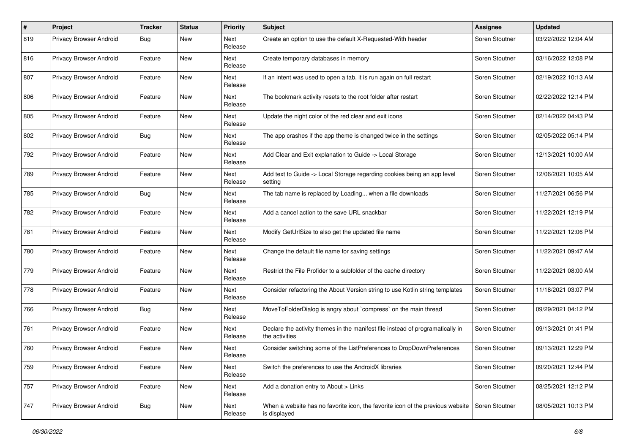| #   | Project                        | <b>Tracker</b> | <b>Status</b> | <b>Priority</b>        | Subject                                                                                          | Assignee       | <b>Updated</b>      |
|-----|--------------------------------|----------------|---------------|------------------------|--------------------------------------------------------------------------------------------------|----------------|---------------------|
| 819 | Privacy Browser Android        | Bug            | New           | Next<br>Release        | Create an option to use the default X-Requested-With header                                      | Soren Stoutner | 03/22/2022 12:04 AM |
| 816 | Privacy Browser Android        | Feature        | New           | Next<br>Release        | Create temporary databases in memory                                                             | Soren Stoutner | 03/16/2022 12:08 PM |
| 807 | Privacy Browser Android        | Feature        | New           | <b>Next</b><br>Release | If an intent was used to open a tab, it is run again on full restart                             | Soren Stoutner | 02/19/2022 10:13 AM |
| 806 | Privacy Browser Android        | Feature        | New           | <b>Next</b><br>Release | The bookmark activity resets to the root folder after restart                                    | Soren Stoutner | 02/22/2022 12:14 PM |
| 805 | Privacy Browser Android        | Feature        | New           | Next<br>Release        | Update the night color of the red clear and exit icons                                           | Soren Stoutner | 02/14/2022 04:43 PM |
| 802 | Privacy Browser Android        | <b>Bug</b>     | New           | Next<br>Release        | The app crashes if the app theme is changed twice in the settings                                | Soren Stoutner | 02/05/2022 05:14 PM |
| 792 | Privacy Browser Android        | Feature        | New           | Next<br>Release        | Add Clear and Exit explanation to Guide -> Local Storage                                         | Soren Stoutner | 12/13/2021 10:00 AM |
| 789 | Privacy Browser Android        | Feature        | New           | Next<br>Release        | Add text to Guide -> Local Storage regarding cookies being an app level<br>setting               | Soren Stoutner | 12/06/2021 10:05 AM |
| 785 | <b>Privacy Browser Android</b> | <b>Bug</b>     | New           | Next<br>Release        | The tab name is replaced by Loading when a file downloads                                        | Soren Stoutner | 11/27/2021 06:56 PM |
| 782 | Privacy Browser Android        | Feature        | New           | Next<br>Release        | Add a cancel action to the save URL snackbar                                                     | Soren Stoutner | 11/22/2021 12:19 PM |
| 781 | Privacy Browser Android        | Feature        | New           | <b>Next</b><br>Release | Modify GetUrlSize to also get the updated file name                                              | Soren Stoutner | 11/22/2021 12:06 PM |
| 780 | Privacy Browser Android        | Feature        | New           | Next<br>Release        | Change the default file name for saving settings                                                 | Soren Stoutner | 11/22/2021 09:47 AM |
| 779 | Privacy Browser Android        | Feature        | New           | Next<br>Release        | Restrict the File Profider to a subfolder of the cache directory                                 | Soren Stoutner | 11/22/2021 08:00 AM |
| 778 | Privacy Browser Android        | Feature        | New           | <b>Next</b><br>Release | Consider refactoring the About Version string to use Kotlin string templates                     | Soren Stoutner | 11/18/2021 03:07 PM |
| 766 | Privacy Browser Android        | <b>Bug</b>     | New           | Next<br>Release        | MoveToFolderDialog is angry about `compress` on the main thread                                  | Soren Stoutner | 09/29/2021 04:12 PM |
| 761 | Privacy Browser Android        | Feature        | New           | Next<br>Release        | Declare the activity themes in the manifest file instead of programatically in<br>the activities | Soren Stoutner | 09/13/2021 01:41 PM |
| 760 | Privacy Browser Android        | Feature        | New           | <b>Next</b><br>Release | Consider switching some of the ListPreferences to DropDownPreferences                            | Soren Stoutner | 09/13/2021 12:29 PM |
| 759 | Privacy Browser Android        | Feature        | New           | Next<br>Release        | Switch the preferences to use the AndroidX libraries                                             | Soren Stoutner | 09/20/2021 12:44 PM |
| 757 | Privacy Browser Android        | Feature        | New           | Next<br>Release        | Add a donation entry to About > Links                                                            | Soren Stoutner | 08/25/2021 12:12 PM |
| 747 | <b>Privacy Browser Android</b> | <b>Bug</b>     | New           | Next<br>Release        | When a website has no favorite icon, the favorite icon of the previous website<br>is displayed   | Soren Stoutner | 08/05/2021 10:13 PM |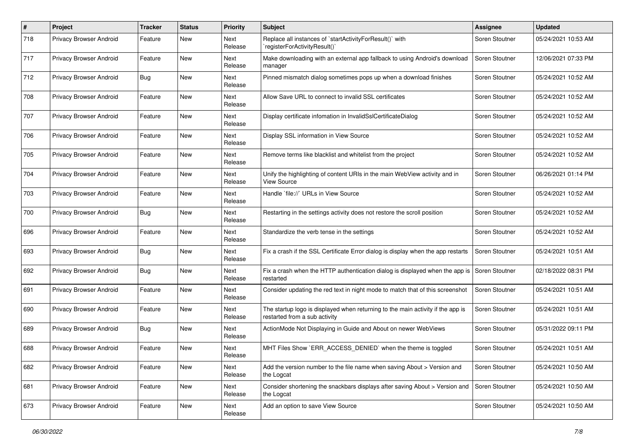| $\#$ | Project                        | <b>Tracker</b> | <b>Status</b> | <b>Priority</b> | <b>Subject</b>                                                                                                   | Assignee       | <b>Updated</b>      |
|------|--------------------------------|----------------|---------------|-----------------|------------------------------------------------------------------------------------------------------------------|----------------|---------------------|
| 718  | Privacy Browser Android        | Feature        | New           | Next<br>Release | Replace all instances of `startActivityForResult()` with<br>'registerForActivityResult()'                        | Soren Stoutner | 05/24/2021 10:53 AM |
| 717  | Privacy Browser Android        | Feature        | New           | Next<br>Release | Make downloading with an external app fallback to using Android's download<br>manager                            | Soren Stoutner | 12/06/2021 07:33 PM |
| 712  | Privacy Browser Android        | Bug            | New           | Next<br>Release | Pinned mismatch dialog sometimes pops up when a download finishes                                                | Soren Stoutner | 05/24/2021 10:52 AM |
| 708  | Privacy Browser Android        | Feature        | New           | Next<br>Release | Allow Save URL to connect to invalid SSL certificates                                                            | Soren Stoutner | 05/24/2021 10:52 AM |
| 707  | Privacy Browser Android        | Feature        | New           | Next<br>Release | Display certificate infomation in InvalidSslCertificateDialog                                                    | Soren Stoutner | 05/24/2021 10:52 AM |
| 706  | Privacy Browser Android        | Feature        | New           | Next<br>Release | Display SSL information in View Source                                                                           | Soren Stoutner | 05/24/2021 10:52 AM |
| 705  | Privacy Browser Android        | Feature        | New           | Next<br>Release | Remove terms like blacklist and whitelist from the project                                                       | Soren Stoutner | 05/24/2021 10:52 AM |
| 704  | Privacy Browser Android        | Feature        | New           | Next<br>Release | Unify the highlighting of content URIs in the main WebView activity and in<br>View Source                        | Soren Stoutner | 06/26/2021 01:14 PM |
| 703  | Privacy Browser Android        | Feature        | New           | Next<br>Release | Handle `file://` URLs in View Source                                                                             | Soren Stoutner | 05/24/2021 10:52 AM |
| 700  | Privacy Browser Android        | <b>Bug</b>     | New           | Next<br>Release | Restarting in the settings activity does not restore the scroll position                                         | Soren Stoutner | 05/24/2021 10:52 AM |
| 696  | Privacy Browser Android        | Feature        | New           | Next<br>Release | Standardize the verb tense in the settings                                                                       | Soren Stoutner | 05/24/2021 10:52 AM |
| 693  | Privacy Browser Android        | <b>Bug</b>     | New           | Next<br>Release | Fix a crash if the SSL Certificate Error dialog is display when the app restarts                                 | Soren Stoutner | 05/24/2021 10:51 AM |
| 692  | Privacy Browser Android        | Bug            | New           | Next<br>Release | Fix a crash when the HTTP authentication dialog is displayed when the app is<br>restarted                        | Soren Stoutner | 02/18/2022 08:31 PM |
| 691  | Privacy Browser Android        | Feature        | New           | Next<br>Release | Consider updating the red text in night mode to match that of this screenshot                                    | Soren Stoutner | 05/24/2021 10:51 AM |
| 690  | Privacy Browser Android        | Feature        | New           | Next<br>Release | The startup logo is displayed when returning to the main activity if the app is<br>restarted from a sub activity | Soren Stoutner | 05/24/2021 10:51 AM |
| 689  | Privacy Browser Android        | Bug            | New           | Next<br>Release | ActionMode Not Displaying in Guide and About on newer WebViews                                                   | Soren Stoutner | 05/31/2022 09:11 PM |
| 688  | <b>Privacy Browser Android</b> | Feature        | New           | Next<br>Release | MHT Files Show `ERR_ACCESS_DENIED` when the theme is toggled                                                     | Soren Stoutner | 05/24/2021 10:51 AM |
| 682  | <b>Privacy Browser Android</b> | Feature        | New           | Next<br>Release | Add the version number to the file name when saving About > Version and<br>the Logcat                            | Soren Stoutner | 05/24/2021 10:50 AM |
| 681  | Privacy Browser Android        | Feature        | New           | Next<br>Release | Consider shortening the snackbars displays after saving About > Version and<br>the Logcat                        | Soren Stoutner | 05/24/2021 10:50 AM |
| 673  | <b>Privacy Browser Android</b> | Feature        | New           | Next<br>Release | Add an option to save View Source                                                                                | Soren Stoutner | 05/24/2021 10:50 AM |